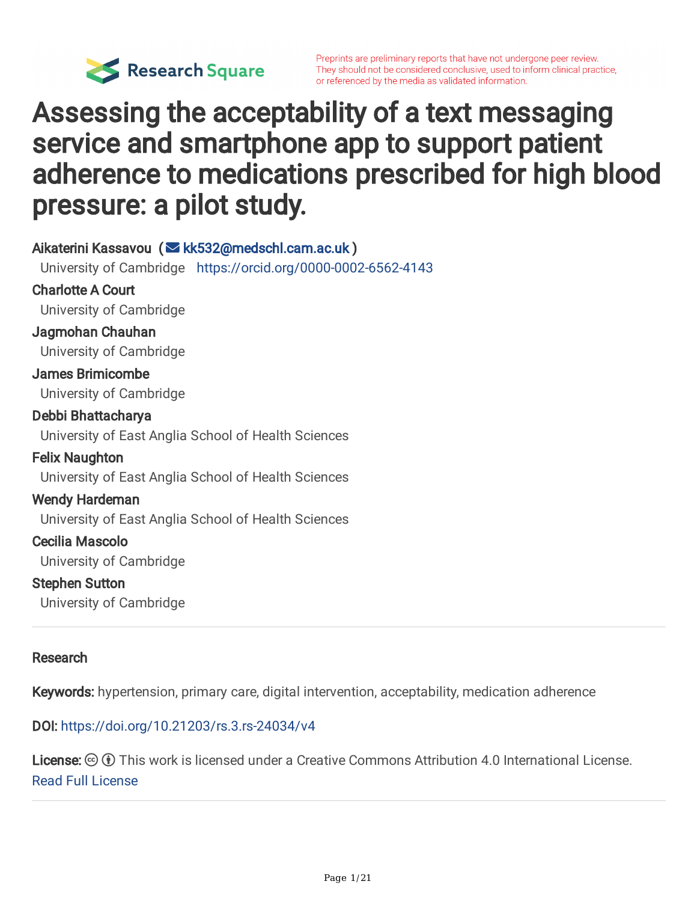

# Assessing the acceptability of a text messaging service and smartphone app to support patient adherence to medications prescribed for high blood pressure: a pilot study.

Aikaterini Kassavou ( **≤ [kk532@medschl.cam.ac.uk](mailto:kk532@medschl.cam.ac.uk)** ) University of Cambridge <https://orcid.org/0000-0002-6562-4143> Charlotte A Court University of Cambridge Jagmohan Chauhan University of Cambridge James Brimicombe University of Cambridge Debbi Bhattacharya University of East Anglia School of Health Sciences Felix Naughton University of East Anglia School of Health Sciences Wendy Hardeman University of East Anglia School of Health Sciences Cecilia Mascolo University of Cambridge Stephen Sutton University of Cambridge

#### Research

Keywords: hypertension, primary care, digital intervention, acceptability, medication adherence

DOI: <https://doi.org/10.21203/rs.3.rs-24034/v4>

**License:**  $\textcircled{c}$   $\textcircled{f}$  This work is licensed under a Creative Commons Attribution 4.0 International License. Read Full [License](https://creativecommons.org/licenses/by/4.0/)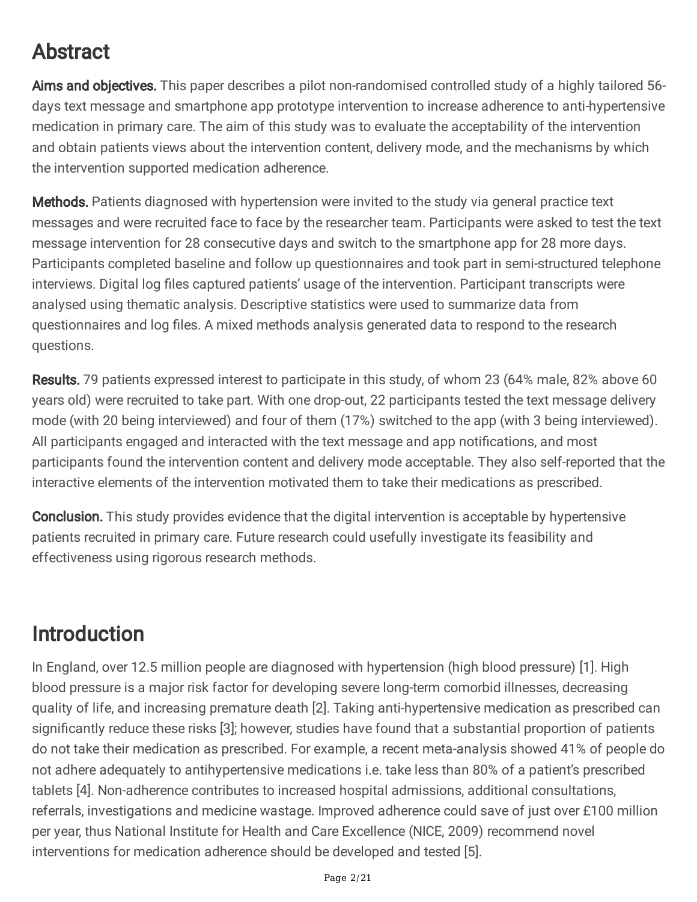# Abstract

Aims and objectives. This paper describes a pilot non-randomised controlled study of a highly tailored 56days text message and smartphone app prototype intervention to increase adherence to anti-hypertensive medication in primary care. The aim of this study was to evaluate the acceptability of the intervention and obtain patients views about the intervention content, delivery mode, and the mechanisms by which the intervention supported medication adherence.

Methods. Patients diagnosed with hypertension were invited to the study via general practice text messages and were recruited face to face by the researcher team. Participants were asked to test the text message intervention for 28 consecutive days and switch to the smartphone app for 28 more days. Participants completed baseline and follow up questionnaires and took part in semi-structured telephone interviews. Digital log files captured patients' usage of the intervention. Participant transcripts were analysed using thematic analysis. Descriptive statistics were used to summarize data from questionnaires and log files. A mixed methods analysis generated data to respond to the research questions.

Results. 79 patients expressed interest to participate in this study, of whom 23 (64% male, 82% above 60 years old) were recruited to take part. With one drop-out, 22 participants tested the text message delivery mode (with 20 being interviewed) and four of them (17%) switched to the app (with 3 being interviewed). All participants engaged and interacted with the text message and app notifications, and most participants found the intervention content and delivery mode acceptable. They also self-reported that the interactive elements of the intervention motivated them to take their medications as prescribed.

**Conclusion.** This study provides evidence that the digital intervention is acceptable by hypertensive patients recruited in primary care. Future research could usefully investigate its feasibility and effectiveness using rigorous research methods.

### Introduction

In England, over 12.5 million people are diagnosed with hypertension (high blood pressure) [1]. High blood pressure is a major risk factor for developing severe long-term comorbid illnesses, decreasing quality of life, and increasing premature death [2]. Taking anti-hypertensive medication as prescribed can significantly reduce these risks [3]; however, studies have found that a substantial proportion of patients do not take their medication as prescribed. For example, a recent meta-analysis showed 41% of people do not adhere adequately to antihypertensive medications i.e. take less than 80% of a patient's prescribed tablets [4]. Non-adherence contributes to increased hospital admissions, additional consultations, referrals, investigations and medicine wastage. Improved adherence could save of just over £100 million per year, thus National Institute for Health and Care Excellence (NICE, 2009) recommend novel interventions for medication adherence should be developed and tested [5].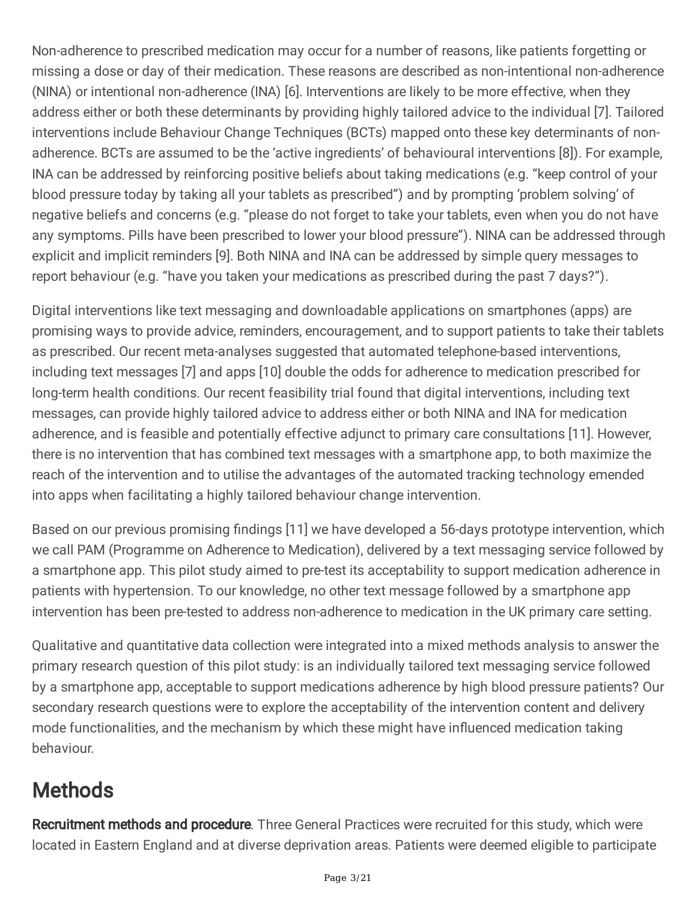Non-adherence to prescribed medication may occur for a number of reasons, like patients forgetting or missing a dose or day of their medication. These reasons are described as non-intentional non-adherence (NINA) or intentional non-adherence (INA) [6]. Interventions are likely to be more effective, when they address either or both these determinants by providing highly tailored advice to the individual [7]. Tailored interventions include Behaviour Change Techniques (BCTs) mapped onto these key determinants of nonadherence. BCTs are assumed to be the 'active ingredients' of behavioural interventions [8]). For example, INA can be addressed by reinforcing positive beliefs about taking medications (e.g. "keep control of your blood pressure today by taking all your tablets as prescribed") and by prompting 'problem solving' of negative beliefs and concerns (e.g. "please do not forget to take your tablets, even when you do not have any symptoms. Pills have been prescribed to lower your blood pressure"). NINA can be addressed through explicit and implicit reminders [9]. Both NINA and INA can be addressed by simple query messages to report behaviour (e.g. "have you taken your medications as prescribed during the past 7 days?").

Digital interventions like text messaging and downloadable applications on smartphones (apps) are promising ways to provide advice, reminders, encouragement, and to support patients to take their tablets as prescribed. Our recent meta-analyses suggested that automated telephone-based interventions, including text messages [7] and apps [10] double the odds for adherence to medication prescribed for long-term health conditions. Our recent feasibility trial found that digital interventions, including text messages, can provide highly tailored advice to address either or both NINA and INA for medication adherence, and is feasible and potentially effective adjunct to primary care consultations [11]. However, there is no intervention that has combined text messages with a smartphone app, to both maximize the reach of the intervention and to utilise the advantages of the automated tracking technology emended into apps when facilitating a highly tailored behaviour change intervention.

Based on our previous promising findings [11] we have developed a 56-days prototype intervention, which we call PAM (Programme on Adherence to Medication), delivered by a text messaging service followed by a smartphone app. This pilot study aimed to pre-test its acceptability to support medication adherence in patients with hypertension. To our knowledge, no other text message followed by a smartphone app intervention has been pre-tested to address non-adherence to medication in the UK primary care setting.

Qualitative and quantitative data collection were integrated into a mixed methods analysis to answer the primary research question of this pilot study: is an individually tailored text messaging service followed by a smartphone app, acceptable to support medications adherence by high blood pressure patients? Our secondary research questions were to explore the acceptability of the intervention content and delivery mode functionalities, and the mechanism by which these might have influenced medication taking behaviour.

### **Methods**

Recruitment methods and procedure. Three General Practices were recruited for this study, which were located in Eastern England and at diverse deprivation areas. Patients were deemed eligible to participate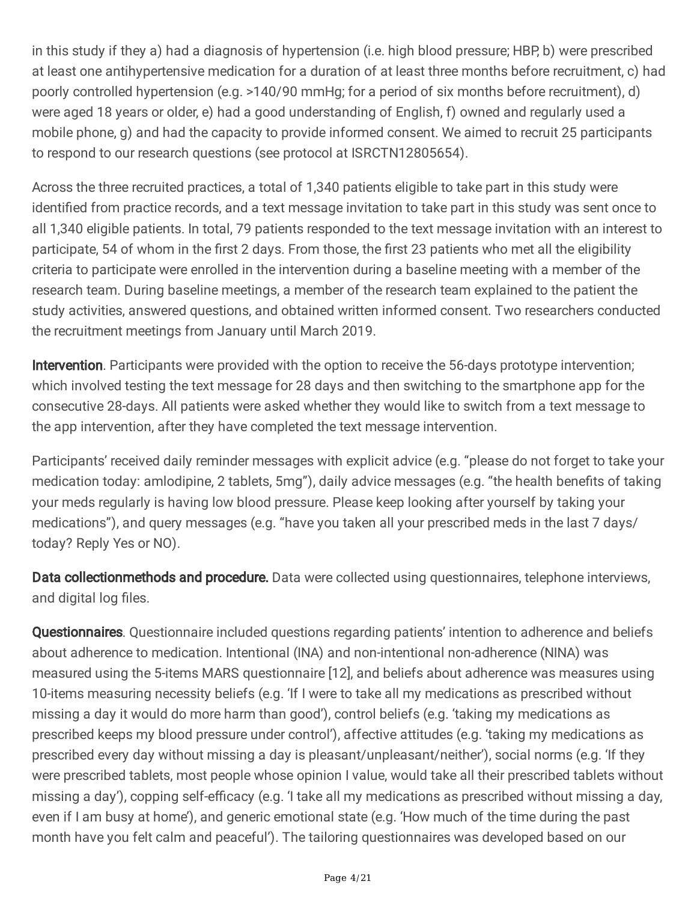in this study if they a) had a diagnosis of hypertension (i.e. high blood pressure; HBP, b) were prescribed at least one antihypertensive medication for a duration of at least three months before recruitment, c) had poorly controlled hypertension (e.g. >140/90 mmHg; for a period of six months before recruitment), d) were aged 18 years or older, e) had a good understanding of English, f) owned and regularly used a mobile phone, g) and had the capacity to provide informed consent. We aimed to recruit 25 participants to respond to our research questions (see protocol at ISRCTN12805654).

Across the three recruited practices, a total of 1,340 patients eligible to take part in this study were identified from practice records, and a text message invitation to take part in this study was sent once to all 1,340 eligible patients. In total, 79 patients responded to the text message invitation with an interest to participate, 54 of whom in the first 2 days. From those, the first 23 patients who met all the eligibility criteria to participate were enrolled in the intervention during a baseline meeting with a member of the research team. During baseline meetings, a member of the research team explained to the patient the study activities, answered questions, and obtained written informed consent. Two researchers conducted the recruitment meetings from January until March 2019.

Intervention. Participants were provided with the option to receive the 56-days prototype intervention; which involved testing the text message for 28 days and then switching to the smartphone app for the consecutive 28-days. All patients were asked whether they would like to switch from a text message to the app intervention, after they have completed the text message intervention.

Participants' received daily reminder messages with explicit advice (e.g. "please do not forget to take your medication today: amlodipine, 2 tablets, 5mg"), daily advice messages (e.g. "the health benefits of taking your meds regularly is having low blood pressure. Please keep looking after yourself by taking your medications"), and query messages (e.g. "have you taken all your prescribed meds in the last 7 days/ today? Reply Yes or NO).

Data collectionmethods and procedure. Data were collected using questionnaires, telephone interviews, and digital log files.

Questionnaires. Questionnaire included questions regarding patients' intention to adherence and beliefs about adherence to medication. Intentional (INA) and non-intentional non-adherence (NINA) was measured using the 5-items MARS questionnaire [12], and beliefs about adherence was measures using 10-items measuring necessity beliefs (e.g. 'If I were to take all my medications as prescribed without missing a day it would do more harm than good'), control beliefs (e.g. 'taking my medications as prescribed keeps my blood pressure under control'), affective attitudes (e.g. 'taking my medications as prescribed every day without missing a day is pleasant/unpleasant/neither'), social norms (e.g. 'If they were prescribed tablets, most people whose opinion I value, would take all their prescribed tablets without missing a day'), copping self-efficacy (e.g. 'I take all my medications as prescribed without missing a day, even if I am busy at home'), and generic emotional state (e.g. 'How much of the time during the past month have you felt calm and peaceful'). The tailoring questionnaires was developed based on our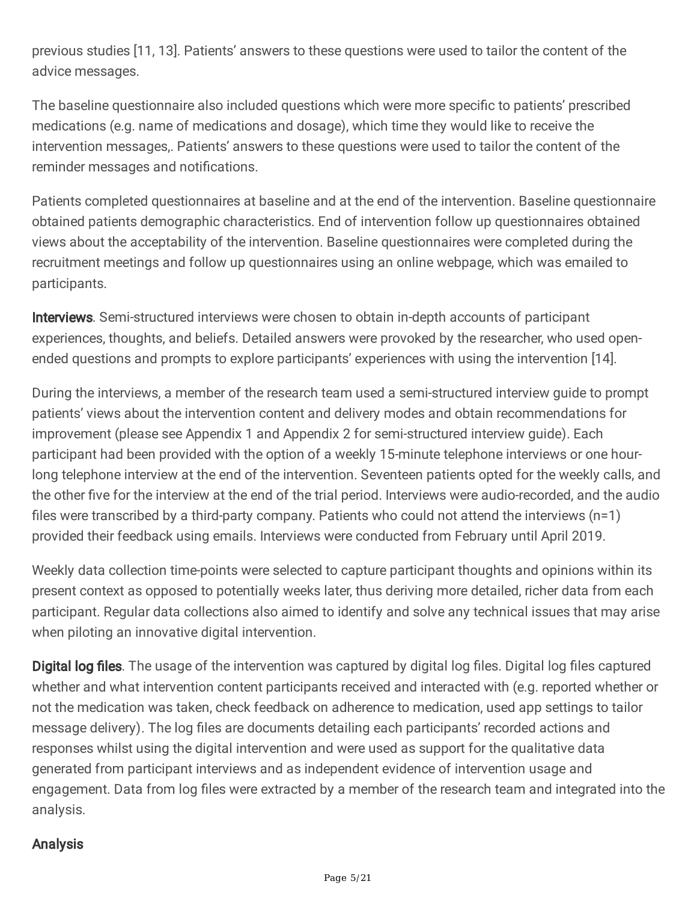previous studies [11, 13]. Patients' answers to these questions were used to tailor the content of the advice messages.

The baseline questionnaire also included questions which were more specific to patients' prescribed medications (e.g. name of medications and dosage), which time they would like to receive the intervention messages,. Patients' answers to these questions were used to tailor the content of the reminder messages and notifications.

Patients completed questionnaires at baseline and at the end of the intervention. Baseline questionnaire obtained patients demographic characteristics. End of intervention follow up questionnaires obtained views about the acceptability of the intervention. Baseline questionnaires were completed during the recruitment meetings and follow up questionnaires using an online webpage, which was emailed to participants.

**Interviews**. Semi-structured interviews were chosen to obtain in-depth accounts of participant experiences, thoughts, and beliefs. Detailed answers were provoked by the researcher, who used openended questions and prompts to explore participants' experiences with using the intervention [14].

During the interviews, a member of the research team used a semi-structured interview guide to prompt patients' views about the intervention content and delivery modes and obtain recommendations for improvement (please see Appendix 1 and Appendix 2 for semi-structured interview guide). Each participant had been provided with the option of a weekly 15-minute telephone interviews or one hourlong telephone interview at the end of the intervention. Seventeen patients opted for the weekly calls, and the other five for the interview at the end of the trial period. Interviews were audio-recorded, and the audio files were transcribed by a third-party company. Patients who could not attend the interviews  $(n=1)$ provided their feedback using emails. Interviews were conducted from February until April 2019.

Weekly data collection time-points were selected to capture participant thoughts and opinions within its present context as opposed to potentially weeks later, thus deriving more detailed, richer data from each participant. Regular data collections also aimed to identify and solve any technical issues that may arise when piloting an innovative digital intervention.

Digital log files. The usage of the intervention was captured by digital log files. Digital log files captured whether and what intervention content participants received and interacted with (e.g. reported whether or not the medication was taken, check feedback on adherence to medication, used app settings to tailor message delivery). The log files are documents detailing each participants' recorded actions and responses whilst using the digital intervention and were used as support for the qualitative data generated from participant interviews and as independent evidence of intervention usage and engagement. Data from log files were extracted by a member of the research team and integrated into the analysis.

#### Analysis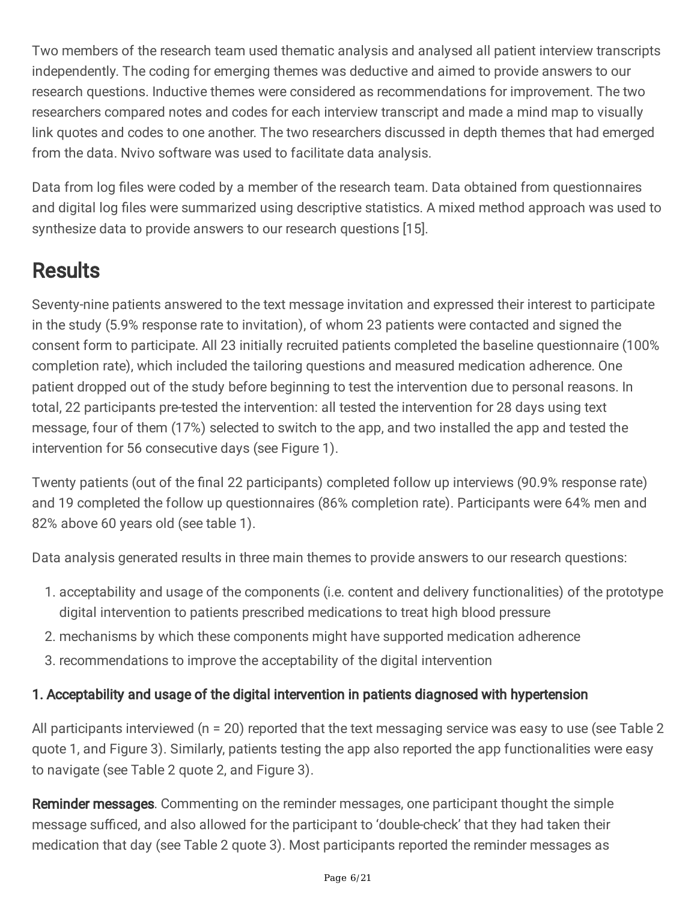Two members of the research team used thematic analysis and analysed all patient interview transcripts independently. The coding for emerging themes was deductive and aimed to provide answers to our research questions. Inductive themes were considered as recommendations for improvement. The two researchers compared notes and codes for each interview transcript and made a mind map to visually link quotes and codes to one another. The two researchers discussed in depth themes that had emerged from the data. Nvivo software was used to facilitate data analysis.

Data from log files were coded by a member of the research team. Data obtained from questionnaires and digital log files were summarized using descriptive statistics. A mixed method approach was used to synthesize data to provide answers to our research questions [15].

# **Results**

Seventy-nine patients answered to the text message invitation and expressed their interest to participate in the study (5.9% response rate to invitation), of whom 23 patients were contacted and signed the consent form to participate. All 23 initially recruited patients completed the baseline questionnaire (100% completion rate), which included the tailoring questions and measured medication adherence. One patient dropped out of the study before beginning to test the intervention due to personal reasons. In total, 22 participants pre-tested the intervention: all tested the intervention for 28 days using text message, four of them (17%) selected to switch to the app, and two installed the app and tested the intervention for 56 consecutive days (see Figure 1).

Twenty patients (out of the final 22 participants) completed follow up interviews (90.9% response rate) and 19 completed the follow up questionnaires (86% completion rate). Participants were 64% men and 82% above 60 years old (see table 1).

Data analysis generated results in three main themes to provide answers to our research questions:

- 1. acceptability and usage of the components (i.e. content and delivery functionalities) of the prototype digital intervention to patients prescribed medications to treat high blood pressure
- 2. mechanisms by which these components might have supported medication adherence
- 3. recommendations to improve the acceptability of the digital intervention

### 1. Acceptability and usage of the digital intervention in patients diagnosed with hypertension

All participants interviewed (n = 20) reported that the text messaging service was easy to use (see Table 2 quote 1, and Figure 3). Similarly, patients testing the app also reported the app functionalities were easy to navigate (see Table 2 quote 2, and Figure 3).

Reminder messages. Commenting on the reminder messages, one participant thought the simple message sufficed, and also allowed for the participant to 'double-check' that they had taken their medication that day (see Table 2 quote 3). Most participants reported the reminder messages as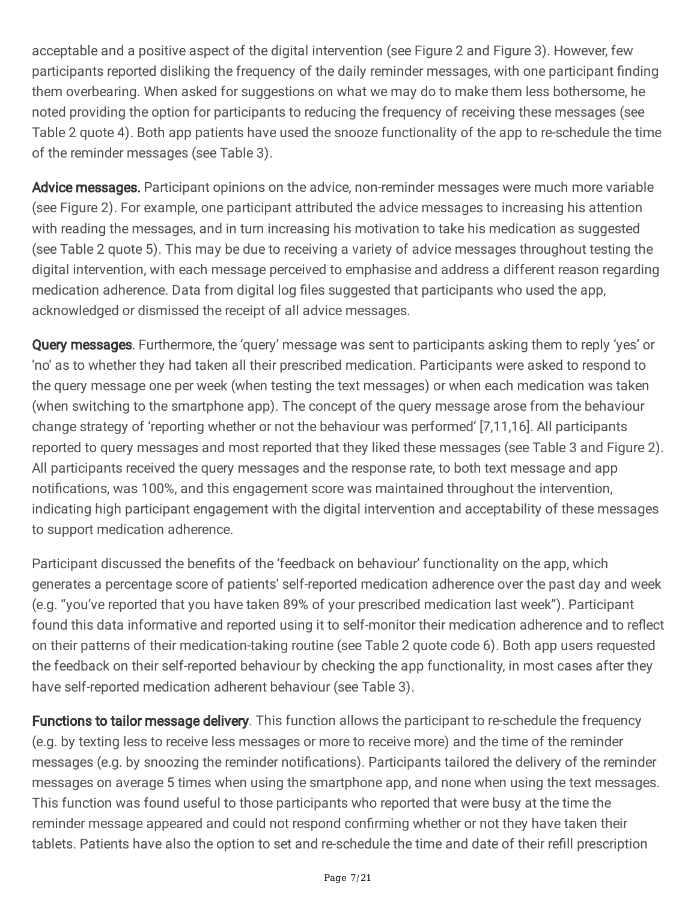acceptable and a positive aspect of the digital intervention (see Figure 2 and Figure 3). However, few participants reported disliking the frequency of the daily reminder messages, with one participant finding them overbearing. When asked for suggestions on what we may do to make them less bothersome, he noted providing the option for participants to reducing the frequency of receiving these messages (see Table 2 quote 4). Both app patients have used the snooze functionality of the app to re-schedule the time of the reminder messages (see Table 3).

Advice messages. Participant opinions on the advice, non-reminder messages were much more variable (see Figure 2). For example, one participant attributed the advice messages to increasing his attention with reading the messages, and in turn increasing his motivation to take his medication as suggested (see Table 2 quote 5). This may be due to receiving a variety of advice messages throughout testing the digital intervention, with each message perceived to emphasise and address a different reason regarding medication adherence. Data from digital log files suggested that participants who used the app, acknowledged or dismissed the receipt of all advice messages.

Query messages. Furthermore, the 'query' message was sent to participants asking them to reply 'yes' or 'no' as to whether they had taken all their prescribed medication. Participants were asked to respond to the query message one per week (when testing the text messages) or when each medication was taken (when switching to the smartphone app). The concept of the query message arose from the behaviour change strategy of 'reporting whether or not the behaviour was performed' [7,11,16]. All participants reported to query messages and most reported that they liked these messages (see Table 3 and Figure 2). All participants received the query messages and the response rate, to both text message and app notifications, was 100%, and this engagement score was maintained throughout the intervention, indicating high participant engagement with the digital intervention and acceptability of these messages to support medication adherence.

Participant discussed the benefits of the 'feedback on behaviour' functionality on the app, which generates a percentage score of patients' self-reported medication adherence over the past day and week (e.g. "you've reported that you have taken 89% of your prescribed medication last week"). Participant found this data informative and reported using it to self-monitor their medication adherence and to reflect on their patterns of their medication-taking routine (see Table 2 quote code 6). Both app users requested the feedback on their self-reported behaviour by checking the app functionality, in most cases after they have self-reported medication adherent behaviour (see Table 3).

**Functions to tailor message delivery**. This function allows the participant to re-schedule the frequency (e.g. by texting less to receive less messages or more to receive more) and the time of the reminder messages (e.g. by snoozing the reminder notifications). Participants tailored the delivery of the reminder messages on average 5 times when using the smartphone app, and none when using the text messages. This function was found useful to those participants who reported that were busy at the time the reminder message appeared and could not respond confirming whether or not they have taken their tablets. Patients have also the option to set and re-schedule the time and date of their refill prescription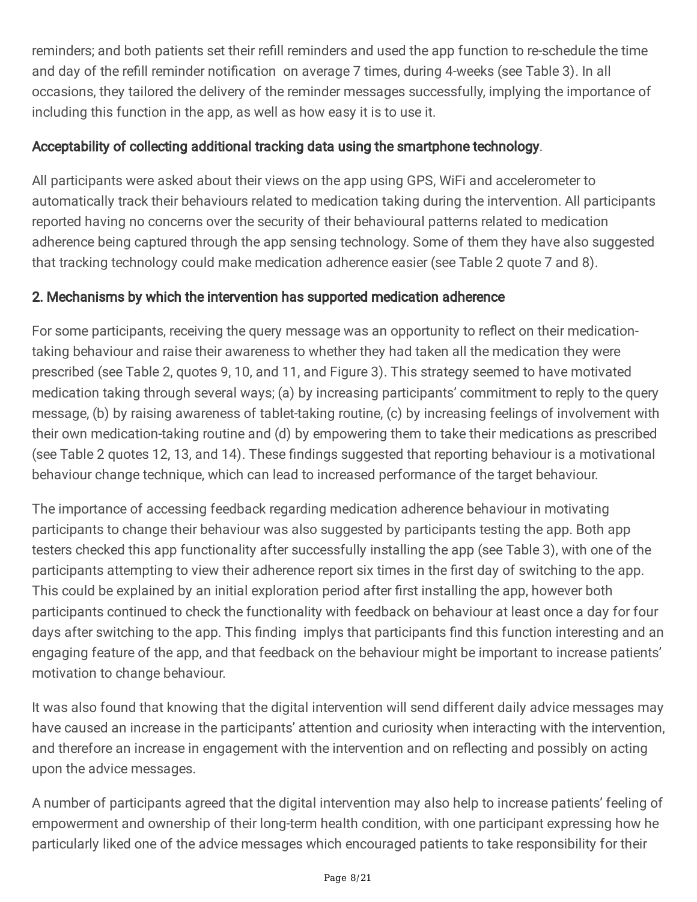reminders; and both patients set their refill reminders and used the app function to re-schedule the time and day of the refill reminder notification on average 7 times, during 4-weeks (see Table 3). In all occasions, they tailored the delivery of the reminder messages successfully, implying the importance of including this function in the app, as well as how easy it is to use it.

#### Acceptability of collecting additional tracking data using the smartphone technology.

All participants were asked about their views on the app using GPS, WiFi and accelerometer to automatically track their behaviours related to medication taking during the intervention. All participants reported having no concerns over the security of their behavioural patterns related to medication adherence being captured through the app sensing technology. Some of them they have also suggested that tracking technology could make medication adherence easier (see Table 2 quote 7 and 8).

#### 2. Mechanisms by which the intervention has supported medication adherence

For some participants, receiving the query message was an opportunity to reflect on their medicationtaking behaviour and raise their awareness to whether they had taken all the medication they were prescribed (see Table 2, quotes 9, 10, and 11, and Figure 3). This strategy seemed to have motivated medication taking through several ways; (a) by increasing participants' commitment to reply to the query message, (b) by raising awareness of tablet-taking routine, (c) by increasing feelings of involvement with their own medication-taking routine and (d) by empowering them to take their medications as prescribed (see Table 2 quotes 12, 13, and 14). These findings suggested that reporting behaviour is a motivational behaviour change technique, which can lead to increased performance of the target behaviour.

The importance of accessing feedback regarding medication adherence behaviour in motivating participants to change their behaviour was also suggested by participants testing the app. Both app testers checked this app functionality after successfully installing the app (see Table 3), with one of the participants attempting to view their adherence report six times in the first day of switching to the app. This could be explained by an initial exploration period after first installing the app, however both participants continued to check the functionality with feedback on behaviour at least once a day for four days after switching to the app. This finding implys that participants find this function interesting and an engaging feature of the app, and that feedback on the behaviour might be important to increase patients' motivation to change behaviour.

It was also found that knowing that the digital intervention will send different daily advice messages may have caused an increase in the participants' attention and curiosity when interacting with the intervention, and therefore an increase in engagement with the intervention and on reflecting and possibly on acting upon the advice messages.

A number of participants agreed that the digital intervention may also help to increase patients' feeling of empowerment and ownership of their long-term health condition, with one participant expressing how he particularly liked one of the advice messages which encouraged patients to take responsibility for their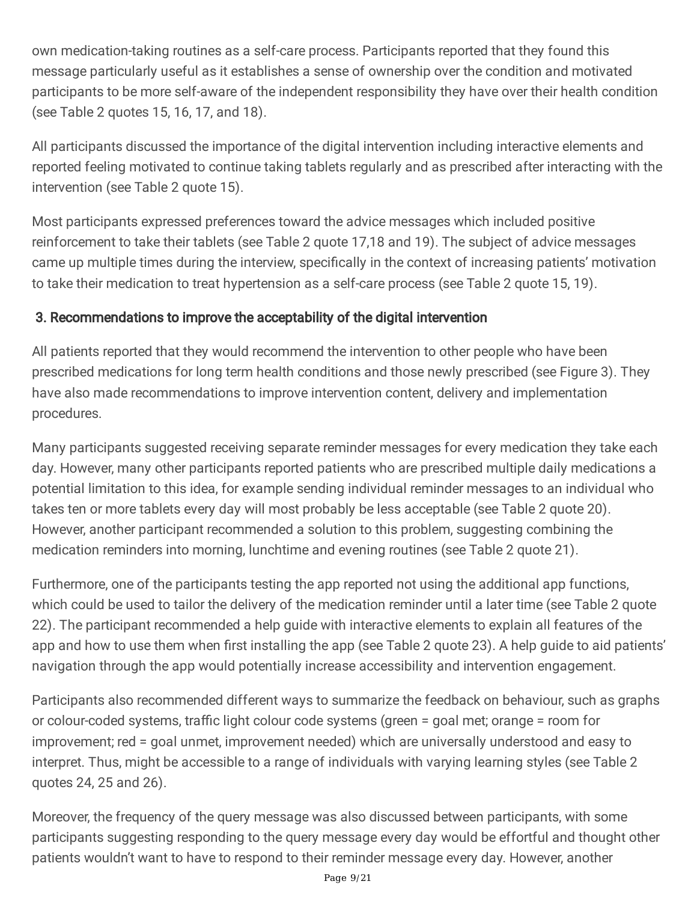own medication-taking routines as a self-care process. Participants reported that they found this message particularly useful as it establishes a sense of ownership over the condition and motivated participants to be more self-aware of the independent responsibility they have over their health condition (see Table 2 quotes 15, 16, 17, and 18).

All participants discussed the importance of the digital intervention including interactive elements and reported feeling motivated to continue taking tablets regularly and as prescribed after interacting with the intervention (see Table 2 quote 15).

Most participants expressed preferences toward the advice messages which included positive reinforcement to take their tablets (see Table 2 quote 17,18 and 19). The subject of advice messages came up multiple times during the interview, specifically in the context of increasing patients' motivation to take their medication to treat hypertension as a self-care process (see Table 2 quote 15, 19).

### 3. Recommendations to improve the acceptability of the digital intervention

All patients reported that they would recommend the intervention to other people who have been prescribed medications for long term health conditions and those newly prescribed (see Figure 3). They have also made recommendations to improve intervention content, delivery and implementation procedures.

Many participants suggested receiving separate reminder messages for every medication they take each day. However, many other participants reported patients who are prescribed multiple daily medications a potential limitation to this idea, for example sending individual reminder messages to an individual who takes ten or more tablets every day will most probably be less acceptable (see Table 2 quote 20). However, another participant recommended a solution to this problem, suggesting combining the medication reminders into morning, lunchtime and evening routines (see Table 2 quote 21).

Furthermore, one of the participants testing the app reported not using the additional app functions, which could be used to tailor the delivery of the medication reminder until a later time (see Table 2 quote 22). The participant recommended a help guide with interactive elements to explain all features of the app and how to use them when first installing the app (see Table 2 quote 23). A help guide to aid patients' navigation through the app would potentially increase accessibility and intervention engagement.

Participants also recommended different ways to summarize the feedback on behaviour, such as graphs or colour-coded systems, traffic light colour code systems (green = goal met; orange = room for improvement; red = goal unmet, improvement needed) which are universally understood and easy to interpret. Thus, might be accessible to a range of individuals with varying learning styles (see Table 2 quotes 24, 25 and 26).

Moreover, the frequency of the query message was also discussed between participants, with some participants suggesting responding to the query message every day would be effortful and thought other patients wouldn't want to have to respond to their reminder message every day. However, another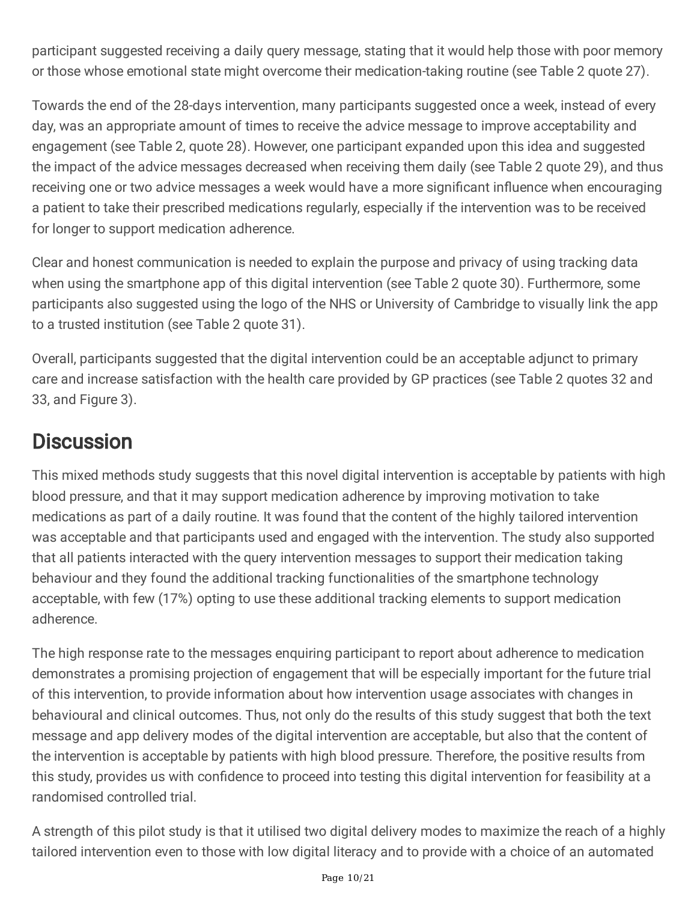participant suggested receiving a daily query message, stating that it would help those with poor memory or those whose emotional state might overcome their medication-taking routine (see Table 2 quote 27).

Towards the end of the 28-days intervention, many participants suggested once a week, instead of every day, was an appropriate amount of times to receive the advice message to improve acceptability and engagement (see Table 2, quote 28). However, one participant expanded upon this idea and suggested the impact of the advice messages decreased when receiving them daily (see Table 2 quote 29), and thus receiving one or two advice messages a week would have a more significant influence when encouraging a patient to take their prescribed medications regularly, especially if the intervention was to be received for longer to support medication adherence.

Clear and honest communication is needed to explain the purpose and privacy of using tracking data when using the smartphone app of this digital intervention (see Table 2 quote 30). Furthermore, some participants also suggested using the logo of the NHS or University of Cambridge to visually link the app to a trusted institution (see Table 2 quote 31).

Overall, participants suggested that the digital intervention could be an acceptable adjunct to primary care and increase satisfaction with the health care provided by GP practices (see Table 2 quotes 32 and 33, and Figure 3).

### **Discussion**

This mixed methods study suggests that this novel digital intervention is acceptable by patients with high blood pressure, and that it may support medication adherence by improving motivation to take medications as part of a daily routine. It was found that the content of the highly tailored intervention was acceptable and that participants used and engaged with the intervention. The study also supported that all patients interacted with the query intervention messages to support their medication taking behaviour and they found the additional tracking functionalities of the smartphone technology acceptable, with few (17%) opting to use these additional tracking elements to support medication adherence.

The high response rate to the messages enquiring participant to report about adherence to medication demonstrates a promising projection of engagement that will be especially important for the future trial of this intervention, to provide information about how intervention usage associates with changes in behavioural and clinical outcomes. Thus, not only do the results of this study suggest that both the text message and app delivery modes of the digital intervention are acceptable, but also that the content of the intervention is acceptable by patients with high blood pressure. Therefore, the positive results from this study, provides us with confidence to proceed into testing this digital intervention for feasibility at a randomised controlled trial.

A strength of this pilot study is that it utilised two digital delivery modes to maximize the reach of a highly tailored intervention even to those with low digital literacy and to provide with a choice of an automated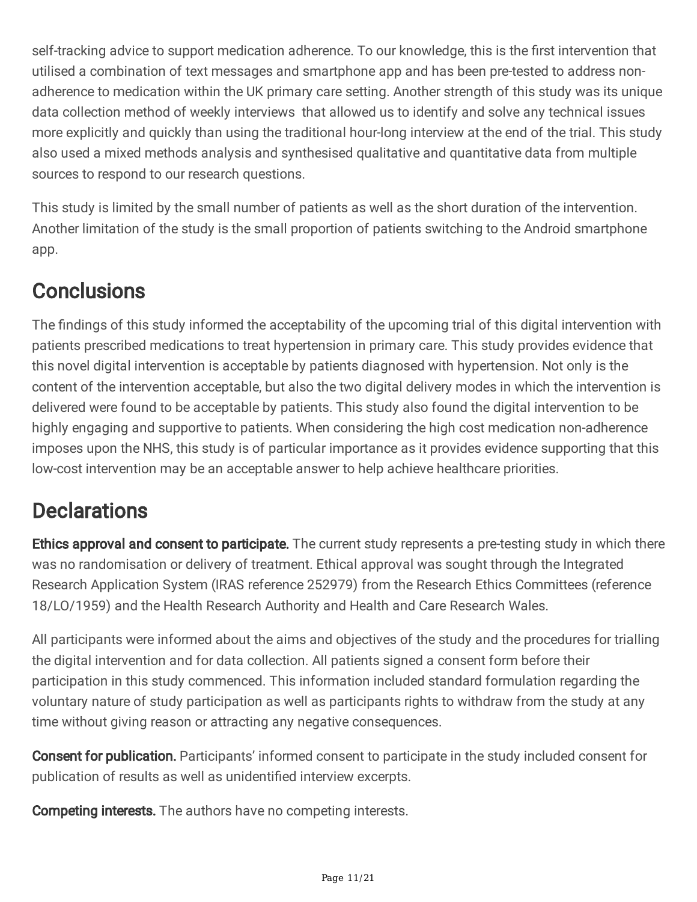self-tracking advice to support medication adherence. To our knowledge, this is the first intervention that utilised a combination of text messages and smartphone app and has been pre-tested to address nonadherence to medication within the UK primary care setting. Another strength of this study was its unique data collection method of weekly interviews that allowed us to identify and solve any technical issues more explicitly and quickly than using the traditional hour-long interview at the end of the trial. This study also used a mixed methods analysis and synthesised qualitative and quantitative data from multiple sources to respond to our research questions.

This study is limited by the small number of patients as well as the short duration of the intervention. Another limitation of the study is the small proportion of patients switching to the Android smartphone app.

### **Conclusions**

The findings of this study informed the acceptability of the upcoming trial of this digital intervention with patients prescribed medications to treat hypertension in primary care. This study provides evidence that this novel digital intervention is acceptable by patients diagnosed with hypertension. Not only is the content of the intervention acceptable, but also the two digital delivery modes in which the intervention is delivered were found to be acceptable by patients. This study also found the digital intervention to be highly engaging and supportive to patients. When considering the high cost medication non-adherence imposes upon the NHS, this study is of particular importance as it provides evidence supporting that this low-cost intervention may be an acceptable answer to help achieve healthcare priorities.

### **Declarations**

Ethics approval and consent to participate. The current study represents a pre-testing study in which there was no randomisation or delivery of treatment. Ethical approval was sought through the Integrated Research Application System (IRAS reference 252979) from the Research Ethics Committees (reference 18/LO/1959) and the Health Research Authority and Health and Care Research Wales.

All participants were informed about the aims and objectives of the study and the procedures for trialling the digital intervention and for data collection. All patients signed a consent form before their participation in this study commenced. This information included standard formulation regarding the voluntary nature of study participation as well as participants rights to withdraw from the study at any time without giving reason or attracting any negative consequences.

Consent for publication. Participants' informed consent to participate in the study included consent for publication of results as well as unidentified interview excerpts.

**Competing interests.** The authors have no competing interests.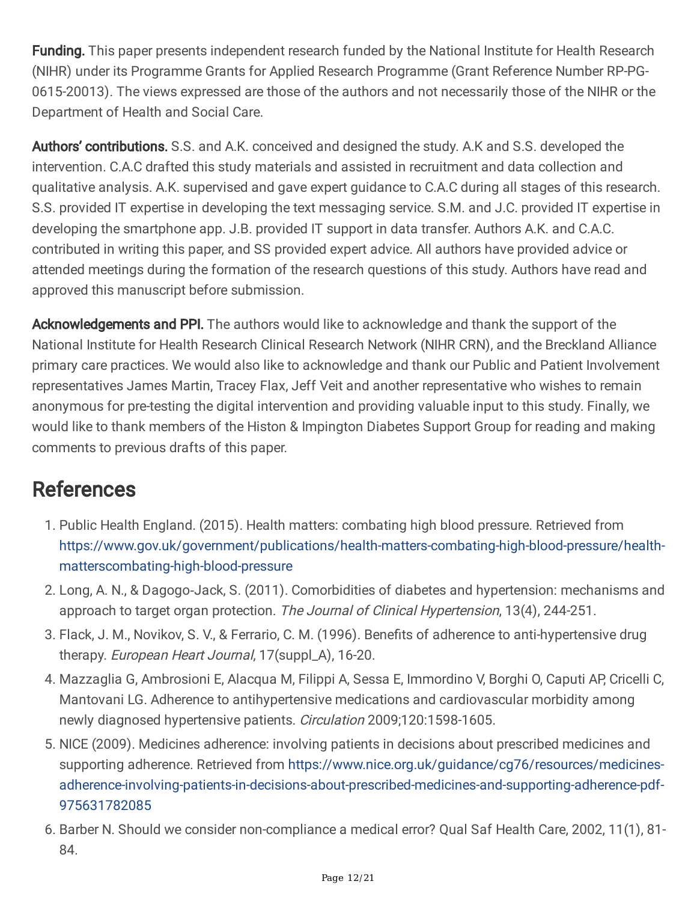Funding. This paper presents independent research funded by the National Institute for Health Research (NIHR) under its Programme Grants for Applied Research Programme (Grant Reference Number RP-PG-0615-20013). The views expressed are those of the authors and not necessarily those of the NIHR or the Department of Health and Social Care.

Authors' contributions. S.S. and A.K. conceived and designed the study. A.K and S.S. developed the intervention. C.A.C drafted this study materials and assisted in recruitment and data collection and qualitative analysis. A.K. supervised and gave expert guidance to C.A.C during all stages of this research. S.S. provided IT expertise in developing the text messaging service. S.M. and J.C. provided IT expertise in developing the smartphone app. J.B. provided IT support in data transfer. Authors A.K. and C.A.C. contributed in writing this paper, and SS provided expert advice. All authors have provided advice or attended meetings during the formation of the research questions of this study. Authors have read and approved this manuscript before submission.

Acknowledgements and PPI. The authors would like to acknowledge and thank the support of the National Institute for Health Research Clinical Research Network (NIHR CRN), and the Breckland Alliance primary care practices. We would also like to acknowledge and thank our Public and Patient Involvement representatives James Martin, Tracey Flax, Jeff Veit and another representative who wishes to remain anonymous for pre-testing the digital intervention and providing valuable input to this study. Finally, we would like to thank members of the Histon & Impington Diabetes Support Group for reading and making comments to previous drafts of this paper.

### **References**

- 1. Public Health England. (2015). Health matters: combating high blood pressure. Retrieved from [https://www.gov.uk/government/publications/health-matters-combating-high-blood-pressure/health](https://www.gov.uk/government/publications/health-matters-combating-high-blood-pressure/health-matterscombating-high-blood-pressure)matterscombating-high-blood-pressure
- 2. Long, A. N., & Dagogo‐Jack, S. (2011). Comorbidities of diabetes and hypertension: mechanisms and approach to target organ protection. The Journal of Clinical Hypertension, 13(4), 244-251.
- 3. Flack, J. M., Novikov, S. V., & Ferrario, C. M. (1996). Benefits of adherence to anti-hypertensive drug therapy. European Heart Journal, 17(suppl\_A), 16-20.
- 4. Mazzaglia G, Ambrosioni E, Alacqua M, Filippi A, Sessa E, Immordino V, Borghi O, Caputi AP, Cricelli C, Mantovani LG. Adherence to antihypertensive medications and cardiovascular morbidity among newly diagnosed hypertensive patients. Circulation 2009;120:1598-1605.
- 5. NICE (2009). Medicines adherence: involving patients in decisions about prescribed medicines and supporting adherence. Retrieved from https://www.nice.org.uk/guidance/cg76/resources/medicines[adherence-involving-patients-in-decisions-about-prescribed-medicines-and-supporting-adherence-pdf-](https://www.nice.org.uk/guidance/cg76/resources/medicines-adherence-involving-patients-in-decisions-about-prescribed-medicines-and-supporting-adherence-pdf-975631782085)975631782085
- 6. Barber N. Should we consider non-compliance a medical error? Qual Saf Health Care, 2002, 11(1), 81- 84.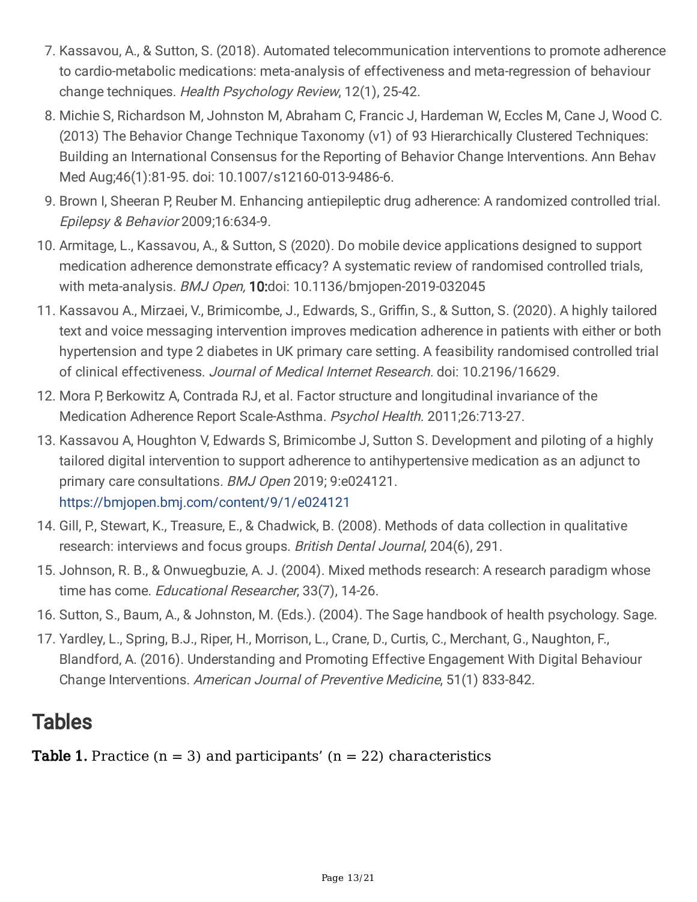- 7. Kassavou, A., & Sutton, S. (2018). Automated telecommunication interventions to promote adherence to cardio-metabolic medications: meta-analysis of effectiveness and meta-regression of behaviour change techniques. Health Psychology Review, 12(1), 25-42.
- 8. Michie S, Richardson M, Johnston M, Abraham C, Francic J, Hardeman W, Eccles M, Cane J, Wood C. (2013) The Behavior Change Technique Taxonomy (v1) of 93 Hierarchically Clustered Techniques: Building an International Consensus for the Reporting of Behavior Change Interventions. Ann Behav Med Aug;46(1):81-95. doi: 10.1007/s12160-013-9486-6.
- 9. Brown I, Sheeran P, Reuber M. Enhancing antiepileptic drug adherence: A randomized controlled trial. Epilepsy & Behavior 2009;16:634-9.
- 10. Armitage, L., Kassavou, A., & Sutton, S (2020). Do mobile device applications designed to support medication adherence demonstrate efficacy? A systematic review of randomised controlled trials, with meta-analysis. BMJ Open, 10:doi: 10.1136/bmjopen-2019-032045
- 11. Kassavou A., Mirzaei, V., Brimicombe, J., Edwards, S., Griffin, S., & Sutton, S. (2020). A highly tailored text and voice messaging intervention improves medication adherence in patients with either or both hypertension and type 2 diabetes in UK primary care setting. A feasibility randomised controlled trial of clinical effectiveness. Journal of Medical Internet Research. doi: 10.2196/16629.
- 12. Mora P, Berkowitz A, Contrada RJ, et al. Factor structure and longitudinal invariance of the Medication Adherence Report Scale-Asthma. Psychol Health. 2011;26:713-27.
- 13. Kassavou A, Houghton V, Edwards S, Brimicombe J, Sutton S. Development and piloting of a highly tailored digital intervention to support adherence to antihypertensive medication as an adjunct to primary care consultations. BMJ Open 2019; 9:e024121. <https://bmjopen.bmj.com/content/9/1/e024121>
- 14. Gill, P., Stewart, K., Treasure, E., & Chadwick, B. (2008). Methods of data collection in qualitative research: interviews and focus groups. British Dental Journal, 204(6), 291.
- 15. Johnson, R. B., & Onwuegbuzie, A. J. (2004). Mixed methods research: A research paradigm whose time has come. Educational Researcher, 33(7), 14-26.
- 16. Sutton, S., Baum, A., & Johnston, M. (Eds.). (2004). The Sage handbook of health psychology. Sage.
- 17. Yardley, L., Spring, B.J., Riper, H., Morrison, L., Crane, D., Curtis, C., Merchant, G., Naughton, F., Blandford, A. (2016). Understanding and Promoting Effective Engagement With Digital Behaviour Change Interventions. American Journal of Preventive Medicine, 51(1) 833-842.

### Tables

**Table 1.** Practice  $(n = 3)$  and participants'  $(n = 22)$  characteristics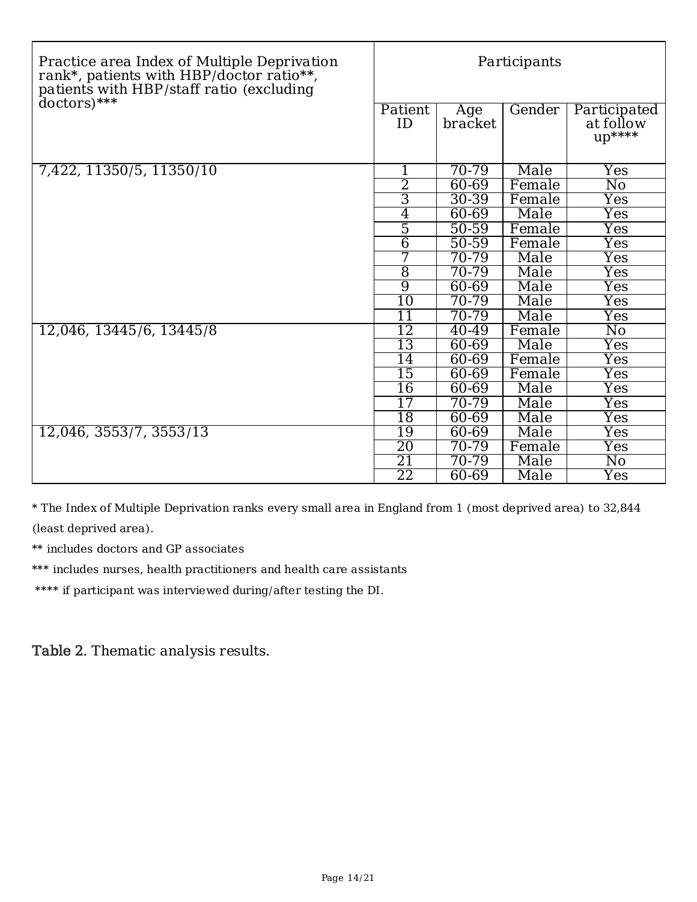| Practice area Index of Multiple Deprivation<br>rank*, patients with HBP/doctor ratio**,<br>patients with HBP/staff ratio (excluding |                 | Participants   |        |                                      |
|-------------------------------------------------------------------------------------------------------------------------------------|-----------------|----------------|--------|--------------------------------------|
| doctors)***                                                                                                                         | Patient<br>ID   | Age<br>bracket | Gender | Participated<br>at follow<br>$up***$ |
| 7,422, 11350/5, 11350/10                                                                                                            | 1               | 70-79          | Male   | $\overline{\mathrm{Yes}}$            |
|                                                                                                                                     | 2               | 60-69          | Female | $\overline{\text{No}}$               |
|                                                                                                                                     | 3               | 30-39          | Female | Yes                                  |
|                                                                                                                                     | $\overline{4}$  | 60-69          | Male   | Yes                                  |
|                                                                                                                                     | $\overline{5}$  | 50-59          | Female | $\overline{Y}$ es                    |
|                                                                                                                                     | 6               | 50-59          | Female | $\overline{Y}$ es                    |
|                                                                                                                                     | 7               | 70-79          | Male   | $\overline{Y}$ es                    |
|                                                                                                                                     | 8               | 70-79          | Male   | Yes                                  |
|                                                                                                                                     | 9               | 60-69          | Male   | Yes                                  |
|                                                                                                                                     | $\overline{10}$ | 70-79          | Male   | $\overline{\mathrm{Yes}}$            |
|                                                                                                                                     | 11              | 70-79          | Male   | Yes                                  |
| 12,046, 13445/6, 13445/8                                                                                                            | 12              | 40-49          | Female | N <sub>0</sub>                       |
|                                                                                                                                     | 13              | 60-69          | Male   | Yes                                  |
|                                                                                                                                     | 14              | 60-69          | Female | <b>Yes</b>                           |
|                                                                                                                                     | 15              | 60-69          | Female | <b>Yes</b>                           |
|                                                                                                                                     | 16              | 60-69          | Male   | Yes                                  |
|                                                                                                                                     | 17              | 70-79          | Male   | Yes                                  |
|                                                                                                                                     | 18              | 60-69          | Male   | Yes                                  |
| 12,046, 3553/7, 3553/13                                                                                                             | 19              | 60-69          | Male   | $\overline{\mathrm{Yes}}$            |
|                                                                                                                                     | 20              | 70-79          | Female | Yes                                  |
|                                                                                                                                     | 21              | 70-79          | Male   | N <sub>0</sub>                       |
|                                                                                                                                     | 22              | 60-69          | Male   | Yes                                  |

\* The Index of Multiple Deprivation ranks every small area in England from 1 (most deprived area) to 32,844 (least deprived area).

\*\* includes doctors and GP associates

\*\*\* includes nurses, health practitioners and health care assistants

\*\*\*\* if participant was interviewed during/after testing the DI.

Table 2. Thematic analysis results.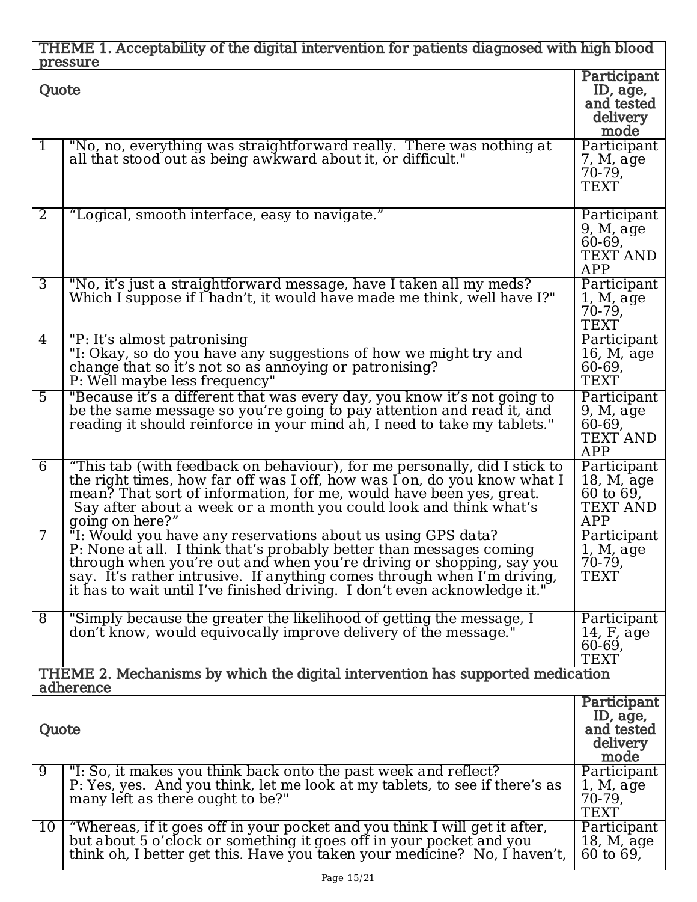|                | THEME 1. Acceptability of the digital intervention for patients diagnosed with high blood<br>pressure                                                                                                                                                                                                                                                               |                                                              |
|----------------|---------------------------------------------------------------------------------------------------------------------------------------------------------------------------------------------------------------------------------------------------------------------------------------------------------------------------------------------------------------------|--------------------------------------------------------------|
| Quote          |                                                                                                                                                                                                                                                                                                                                                                     | Participant<br>ID, age,<br>and tested<br>delivery<br>mode    |
| $\mathbf{1}$   | "No, no, everything was straightforward really. There was nothing at<br>all that stood out as being awkward about it, or difficult."                                                                                                                                                                                                                                | Participant<br>7, M, age<br>70-79,<br><b>TEXT</b>            |
| $\overline{2}$ | "Logical, smooth interface, easy to navigate."                                                                                                                                                                                                                                                                                                                      | Participant<br>9, M, age<br>60-69,<br>TEXT AND<br>APP        |
| 3              | "No, it's just a straightforward message, have I taken all my meds?<br>Which I suppose if I hadn't, it would have made me think, well have I?"                                                                                                                                                                                                                      | Participant<br>1, M, age<br>70-79,<br><b>TEXT</b>            |
| 4              | "P: It's almost patronising<br>"I: Okay, so do you have any suggestions of how we might try and<br>change that so it's not so as annoying or patronising?<br>P: Well maybe less frequency"                                                                                                                                                                          | Participant<br>16, M, age<br>60-69,<br><b>TEXT</b>           |
| $\overline{5}$ | "Because it's a different that was every day, you know it's not going to<br>be the same message so you're going to pay attention and read it, and<br>reading it should reinforce in your mind ah, I need to take my tablets."                                                                                                                                       | Participant<br>9, M, age<br>60-69,<br><b>TEXT AND</b><br>APP |
| 6              | "This tab (with feedback on behaviour), for me personally, did I stick to<br>the right times, how far off was I off, how was I on, do you know what I<br>mean? That sort of information, for me, would have been yes, great.<br>Say after about a week or a month you could look and think what's<br>going on here?"                                                | Participant<br>18, M, age<br>60 to 69,<br>TEXT AND<br>APP    |
| 7              | "I: Would you have any reservations about us using GPS data?<br>P: None at all. I think that's probably better than messages coming<br>through when you're out and when you're driving or shopping, say you<br>say. It's rather intrusive. If anything comes through when I'm driving,<br>it has to wait until I've finished driving. I don't even acknowledge it." | Participant<br>1, M, age<br>70-79,<br>TEXT                   |
| 8              | "Simply because the greater the likelihood of getting the message, I<br>don't know, would equivocally improve delivery of the message.                                                                                                                                                                                                                              | Participant<br>14, F, age<br>60-69,<br><b>TEXT</b>           |
|                | THEME 2. Mechanisms by which the digital intervention has supported medication<br>adherence                                                                                                                                                                                                                                                                         |                                                              |
| Quote          |                                                                                                                                                                                                                                                                                                                                                                     | Participant<br>ID, age,<br>and tested<br>delivery<br>mode    |
| $\overline{9}$ | "I: So, it makes you think back onto the past week and reflect?<br>P: Yes, yes. And you think, let me look at my tablets, to see if there's as<br>many left as there ought to be?"                                                                                                                                                                                  | Participant<br>1, M, age<br>70-79,<br><b>TEXT</b>            |
| 10             | "Whereas, if it goes off in your pocket and you think I will get it after,<br>but about 5 o'clock or something it goes off in your pocket and you<br>think oh, I better get this. Have you taken your medicine? No, I haven't,                                                                                                                                      | Participant<br>18, M, age<br>60 to 69,                       |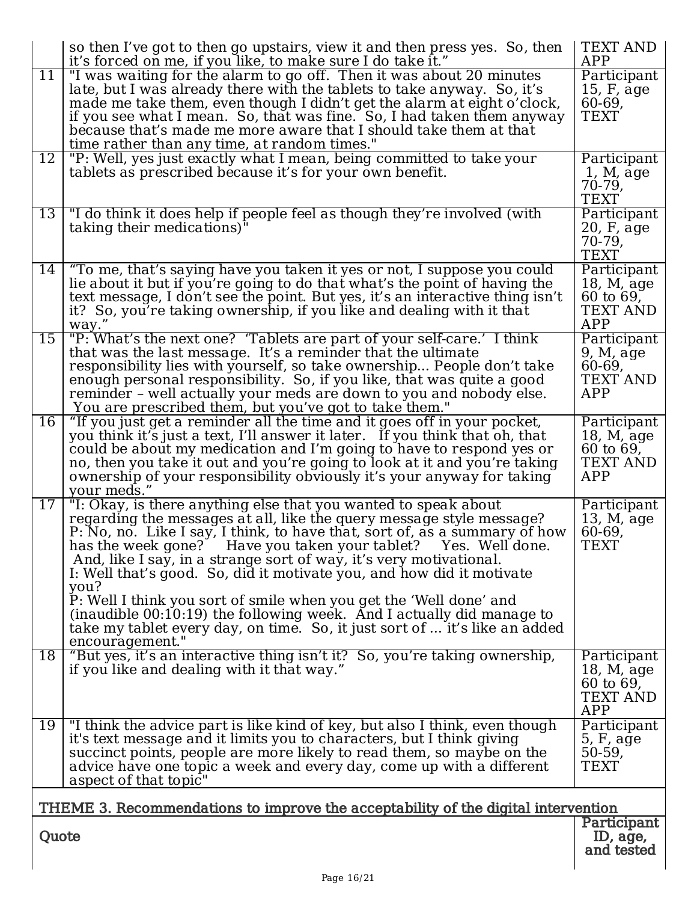|                                                                                   | so then I've got to then go upstairs, view it and then press yes. So, then<br>it's forced on me, if you like, to make sure I do take it."                                                                                                                                                                                                                                                                                                                                                                                                                                                                                                                                                        | TEXT AND<br>APP                                                      |
|-----------------------------------------------------------------------------------|--------------------------------------------------------------------------------------------------------------------------------------------------------------------------------------------------------------------------------------------------------------------------------------------------------------------------------------------------------------------------------------------------------------------------------------------------------------------------------------------------------------------------------------------------------------------------------------------------------------------------------------------------------------------------------------------------|----------------------------------------------------------------------|
| 11                                                                                | "I was waiting for the alarm to go off. Then it was about 20 minutes<br>late, but I was already there with the tablets to take anyway. So, it's<br>made me take them, even though I didn't get the alarm at eight o'clock,<br>if you see what I mean. So, that was fine. So, I had taken them anyway<br>because that's made me more aware that I should take them at that<br>time rather than any time, at random times."                                                                                                                                                                                                                                                                        | Participant<br>15, F, age<br>60-69,<br>TEXT                          |
| 12                                                                                | "P: Well, yes just exactly what I mean, being committed to take your<br>tablets as prescribed because it's for your own benefit.                                                                                                                                                                                                                                                                                                                                                                                                                                                                                                                                                                 | Participant<br>1, M, age<br>70-79,<br><b>TEXT</b>                    |
| 13                                                                                | "I do think it does help if people feel as though they're involved (with<br>taking their medications) <sup><math>\overline{\phantom{a}}</math></sup>                                                                                                                                                                                                                                                                                                                                                                                                                                                                                                                                             | Participant<br>20, F, age<br>70-79,<br><b>TEXT</b>                   |
| 14                                                                                | "To me, that's saying have you taken it yes or not, I suppose you could<br>lie about it but if you're going to do that what's the point of having the<br>text message, I don't see the point. But yes, it's an interactive thing isn't<br>it? So, you're taking ownership, if you like and dealing with it that<br>way.                                                                                                                                                                                                                                                                                                                                                                          | Participant<br>18, M, age<br>60 to 69,<br>TEXT AND<br>APP            |
| 15                                                                                | "P: What's the next one? 'Tablets are part of your self-care.' I think<br>that was the last message. It's a reminder that the ultimate<br>responsibility lies with yourself, so take ownership People don't take<br>enough personal responsibility. So, if you like, that was quite a good<br>reminder - well actually your meds are down to you and nobody else.<br>You are prescribed them, but you've got to take them."                                                                                                                                                                                                                                                                      | Participant<br>9, M, age<br>60-69,<br>TEXT AND<br>APP                |
| 16                                                                                | "If you just get a reminder all the time and it goes off in your pocket,<br>you think it's just a text, I'll answer it later. If you think that oh, that<br>could be about my medication and I'm going to have to respond yes or<br>no, then you take it out and you're going to look at it and you're taking<br>ownership of your responsibility obviously it's your anyway for taking<br>your meds."                                                                                                                                                                                                                                                                                           | Participant<br>18, M, age<br>60 to 69,<br>TEXT AND<br>APP            |
| 17                                                                                | "I: Okay, is there anything else that you wanted to speak about<br>regarding the messages at all, like the query message style message?<br>P: No, no. Like I say, I think, to have that, sort of, as a summary of how<br>has the week gone? Have you taken your tablet? Yes. Well done<br>And, like I say, in a strange sort of way, it's very motivational.<br>I: Well that's good. So, did it motivate you, and how did it motivate<br>you?<br>P: Well I think you sort of smile when you get the 'Well done' and<br>(inaudible $00:10:19$ ) the following week. And I actually did manage to<br>take my tablet every day, on time. So, it just sort of  it's like an added<br>encouragement." | Participant<br>13, M, age<br>60-69,<br>TEXT                          |
| 18                                                                                | "But yes, it's an interactive thing isn't it? So, you're taking ownership,<br>if you like and dealing with it that way."                                                                                                                                                                                                                                                                                                                                                                                                                                                                                                                                                                         | Participant<br>18, M, age<br>$60 \text{ to } 69.$<br>TEXT AND<br>APP |
| 19                                                                                | "I think the advice part is like kind of key, but also I think, even though<br>it's text message and it limits you to characters, but I think giving<br>succinct points, people are more likely to read them, so maybe on the<br>advice have one topic a week and every day, come up with a different<br>aspect of that topic"                                                                                                                                                                                                                                                                                                                                                                   | Participant<br>5, F, age<br>50-59,<br>TEXT                           |
| THEME 3. Recommendations to improve the acceptability of the digital intervention |                                                                                                                                                                                                                                                                                                                                                                                                                                                                                                                                                                                                                                                                                                  |                                                                      |
| Quote                                                                             |                                                                                                                                                                                                                                                                                                                                                                                                                                                                                                                                                                                                                                                                                                  | Participant<br>ID, age,<br>and tested                                |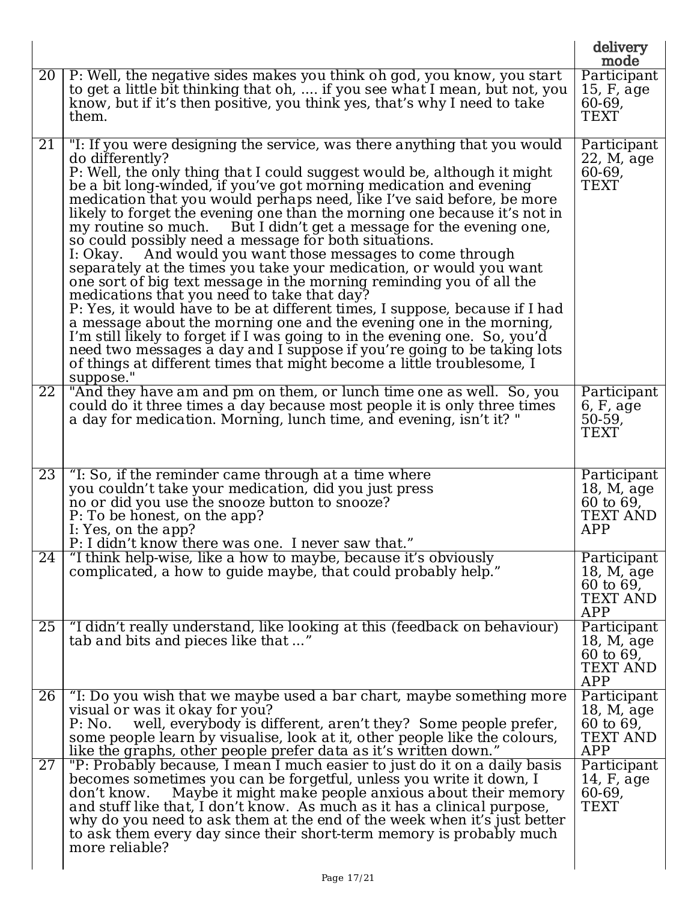|    |                                                                                                                                                                                                                                                                                                                                                                                                                                                                                                                                                                                                                                                                                                                                                                                                                                                                                                                                                                                                                                                                                                                                                                                                           | delivery<br>mode                                                            |
|----|-----------------------------------------------------------------------------------------------------------------------------------------------------------------------------------------------------------------------------------------------------------------------------------------------------------------------------------------------------------------------------------------------------------------------------------------------------------------------------------------------------------------------------------------------------------------------------------------------------------------------------------------------------------------------------------------------------------------------------------------------------------------------------------------------------------------------------------------------------------------------------------------------------------------------------------------------------------------------------------------------------------------------------------------------------------------------------------------------------------------------------------------------------------------------------------------------------------|-----------------------------------------------------------------------------|
| 20 | P: Well, the negative sides makes you think oh god, you know, you start<br>to get a little bit thinking that oh,  if you see what I mean, but not, you<br>know, but if it's then positive, you think yes, that's why I need to take<br>them.                                                                                                                                                                                                                                                                                                                                                                                                                                                                                                                                                                                                                                                                                                                                                                                                                                                                                                                                                              | Participant<br>15, F, age<br>60-69,<br><b>TEXT</b>                          |
| 21 | "I: If you were designing the service, was there anything that you would<br>do differently?<br>P: Well, the only thing that I could suggest would be, although it might<br>be a bit long-winded, if you've got morning medication and evening<br>medication that you would perhaps need, like I've said before, be more<br>likely to forget the evening one than the morning one because it's not in<br>But I didn't get a message for the evening one,<br>my routine so much.<br>so could possibly need a message for both situations.<br>I: Okay. And would you want those messages to come through<br>separately at the times you take your medication, or would you want<br>one sort of big text message in the morning reminding you of all the<br>medications that you need to take that day?<br>P: Yes, it would have to be at different times, I suppose, because if I had<br>a message about the morning one and the evening one in the morning,<br>I'm still likely to forget if I was going to in the evening one. So, you'd<br>need two messages a day and I suppose if you're going to be taking lots<br>of things at different times that might become a little troublesome, I<br>suppose." | Participant<br>22, M, age<br>60-69,<br><b>TEXT</b>                          |
| 22 | "And they have am and pm on them, or lunch time one as well. So, you<br>could do it three times a day because most people it is only three times<br>a day for medication. Morning, lunch time, and evening, isn't it? "                                                                                                                                                                                                                                                                                                                                                                                                                                                                                                                                                                                                                                                                                                                                                                                                                                                                                                                                                                                   | Participant<br>6, F, age<br>50-59,<br>TEXT                                  |
| 23 | "I: So, if the reminder came through at a time where<br>you couldn't take your medication, did you just press<br>no or did you use the snooze button to snooze?<br>P: To be honest, on the app?<br>I: Yes, on the app?<br>P: I didn't know there was one. I never saw that."                                                                                                                                                                                                                                                                                                                                                                                                                                                                                                                                                                                                                                                                                                                                                                                                                                                                                                                              | Participant<br>18, M, age<br>$60 \text{ to } 69.$<br><b>TEXT AND</b><br>APP |
| 24 | "I think help-wise, like a how to maybe, because it's obviously<br>complicated, a how to guide maybe, that could probably help."                                                                                                                                                                                                                                                                                                                                                                                                                                                                                                                                                                                                                                                                                                                                                                                                                                                                                                                                                                                                                                                                          | Participant<br>18, M, age<br>$60 \text{ to } 69,$<br>TEXT AND<br>APP        |
| 25 | "I didn't really understand, like looking at this (feedback on behaviour)<br>tab and bits and pieces like that "                                                                                                                                                                                                                                                                                                                                                                                                                                                                                                                                                                                                                                                                                                                                                                                                                                                                                                                                                                                                                                                                                          | Participant<br>18, M, age<br>60 to $69,$<br>TEXT AND<br><b>APP</b>          |
| 26 | "I: Do you wish that we maybe used a bar chart, maybe something more<br>visual or was it okay for you?<br>well, everybody is different, aren't they? Some people prefer,<br>P: No.<br>some people learn by visualise, look at it, other people like the colours,<br>like the graphs, other people prefer data as it's written down."                                                                                                                                                                                                                                                                                                                                                                                                                                                                                                                                                                                                                                                                                                                                                                                                                                                                      | Participant<br>18, M, age<br>60 to $69,$<br>TEXT AND<br><b>APP</b>          |
| 27 | $\overline{P}$ : Probably because, I mean I much easier to just do it on a daily basis<br>becomes sometimes you can be forgetful, unless you write it down, I<br>Maybe it might make people anxious about their memory<br>don't know.<br>and stuff like that, I don't know. As much as it has a clinical purpose,<br>why do you need to ask them at the end of the week when it's just better<br>to ask them every day since their short-term memory is probably much<br>more reliable?                                                                                                                                                                                                                                                                                                                                                                                                                                                                                                                                                                                                                                                                                                                   | Participant<br>14, F, age<br>60-69,<br>TEXT                                 |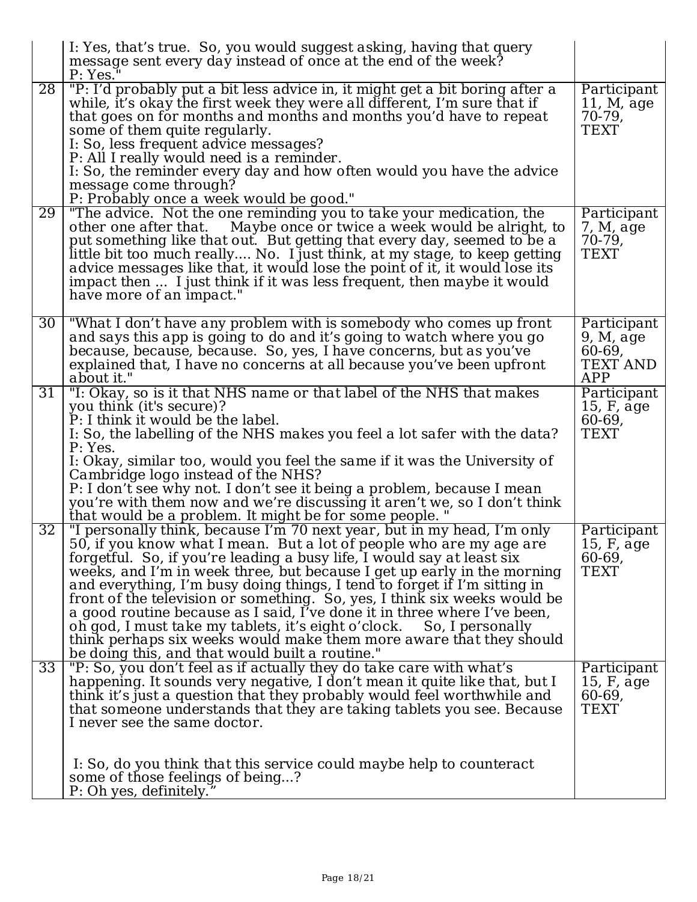|    | I: Yes, that's true. So, you would suggest asking, having that query<br>message sent every day instead of once at the end of the week?<br>P: Yes.                                                                                                                                                                                                                                                                                                                                                                                                                                                                                                                                                                                              |                                                              |
|----|------------------------------------------------------------------------------------------------------------------------------------------------------------------------------------------------------------------------------------------------------------------------------------------------------------------------------------------------------------------------------------------------------------------------------------------------------------------------------------------------------------------------------------------------------------------------------------------------------------------------------------------------------------------------------------------------------------------------------------------------|--------------------------------------------------------------|
| 28 | "P: I'd probably put a bit less advice in, it might get a bit boring after a<br>while, it's okay the first week they were all different, I'm sure that if<br>that goes on for months and months and months you'd have to repeat<br>some of them quite regularly.<br>I: So, less frequent advice messages?<br>P: All I really would need is a reminder.<br>I: So, the reminder every day and how often would you have the advice<br>message come through?<br>P: Probably once a week would be good."                                                                                                                                                                                                                                            | Participant<br>11, M, age<br>70-79,<br><b>TEXT</b>           |
| 29 | "The advice. Not the one reminding you to take your medication, the<br>other one after that. Maybe once or twice a week would be alright, to<br>put something like that out. But getting that every day, seemed to be a<br>little bit too much really No. I just think, at my stage, to keep getting<br>advice messages like that, it would lose the point of it, it would lose its<br>impact then  I just think if it was less frequent, then maybe it would<br>have more of an impact."                                                                                                                                                                                                                                                      | Participant<br>7, M, age<br>70-79.<br>TEXT                   |
| 30 | "What I don't have any problem with is somebody who comes up front<br>and says this app is going to do and it's going to watch where you go<br>because, because, because. So, yes, I have concerns, but as you've<br>explained that, I have no concerns at all because you've been upfront<br>about it."                                                                                                                                                                                                                                                                                                                                                                                                                                       | Participant<br>9, M, age<br>60-69,<br><b>TEXT AND</b><br>APP |
| 31 | "I: Okay, so is it that NHS name or that label of the NHS that makes<br>you think (it's secure)?<br>P: I think it would be the label.<br>I: So, the labelling of the NHS makes you feel a lot safer with the data?<br>P: Yes.<br>I: Okay, similar too, would you feel the same if it was the University of<br>Cambridge logo instead of the NHS?<br>P: I don't see why not. I don't see it being a problem, because I mean<br>you're with them now and we're discussing it aren't we, so I don't think<br>that would be a problem. It might be for some people.                                                                                                                                                                                | Participant<br>15, F, age<br>60-69,<br>TEXT                  |
| 32 | "I personally think, because I'm 70 next year, but in my head, I'm only<br>50, if you know what I mean. But a lot of people who are my age are<br>forgetful. So, if you're leading a busy life, I would say at least six<br>weeks, and I'm in week three, but because I get up early in the morning<br>and everything, I'm busy doing things, I tend to forget if I'm sitting in<br>front of the television or something. So, yes, I think six weeks would be<br>a good routine because as I said, I've done it in three where I've been,<br>oh god, I must take my tablets, it's eight o'clock.<br>So, I personally<br>think perhaps six weeks would make them more aware that they should<br>be doing this, and that would built a routine." | Participant<br>15, F, age<br>60-69,<br>TEXT                  |
| 33 | "P: So, you don't feel as if actually they do take care with what's<br>happening. It sounds very negative, I don't mean it quite like that, but I<br>think it's just a question that they probably would feel worthwhile and<br>that someone understands that they are taking tablets you see. Because<br>I never see the same doctor.                                                                                                                                                                                                                                                                                                                                                                                                         | Participant<br>15, F, age<br>60-69,<br>TEXT                  |
|    | I: So, do you think that this service could maybe help to counteract<br>some of those feelings of being?<br>P: Oh yes, definitely."                                                                                                                                                                                                                                                                                                                                                                                                                                                                                                                                                                                                            |                                                              |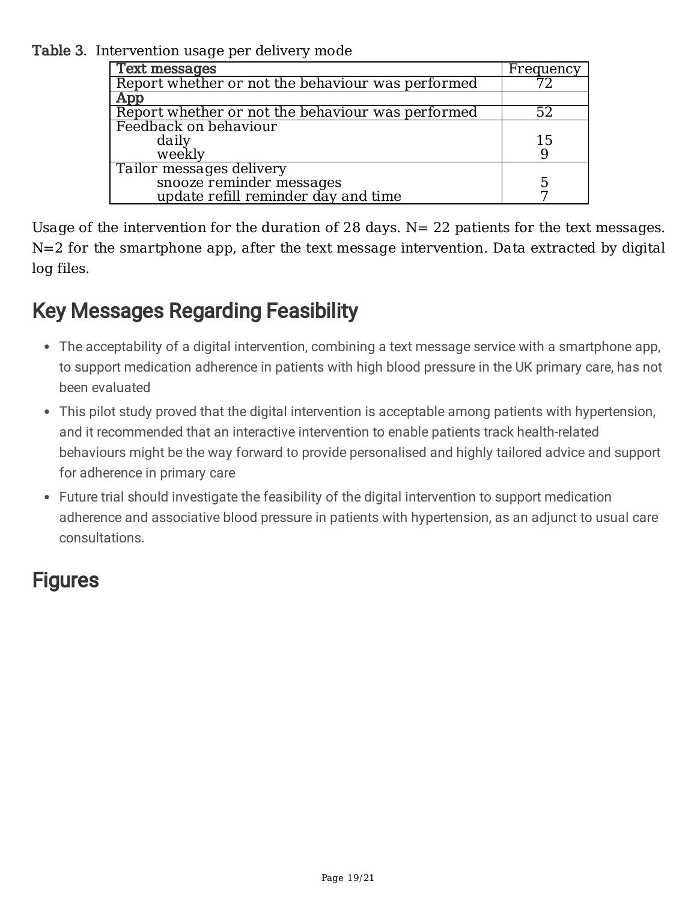#### Table 3. Intervention usage per delivery mode

| Text messages                                                   | Frequency |
|-----------------------------------------------------------------|-----------|
| Report whether or not the behaviour was performed               |           |
| App                                                             |           |
| Report whether or not the behaviour was performed               |           |
| Feedback on behaviour                                           |           |
| daily                                                           | 15        |
| weekly                                                          |           |
| Tailor messages delivery                                        |           |
|                                                                 | 5         |
| snooze reminder messages<br>update refill reminder day and time |           |

Usage of the intervention for the duration of 28 days.  $N = 22$  patients for the text messages. N=2 for the smartphone app, after the text message intervention. Data extracted by digital log files.

# Key Messages Regarding Feasibility

- The acceptability of a digital intervention, combining a text message service with a smartphone app, to support medication adherence in patients with high blood pressure in the UK primary care, has not been evaluated
- This pilot study proved that the digital intervention is acceptable among patients with hypertension, and it recommended that an interactive intervention to enable patients track health-related behaviours might be the way forward to provide personalised and highly tailored advice and support for adherence in primary care
- Future trial should investigate the feasibility of the digital intervention to support medication adherence and associative blood pressure in patients with hypertension, as an adjunct to usual care consultations.

### **Figures**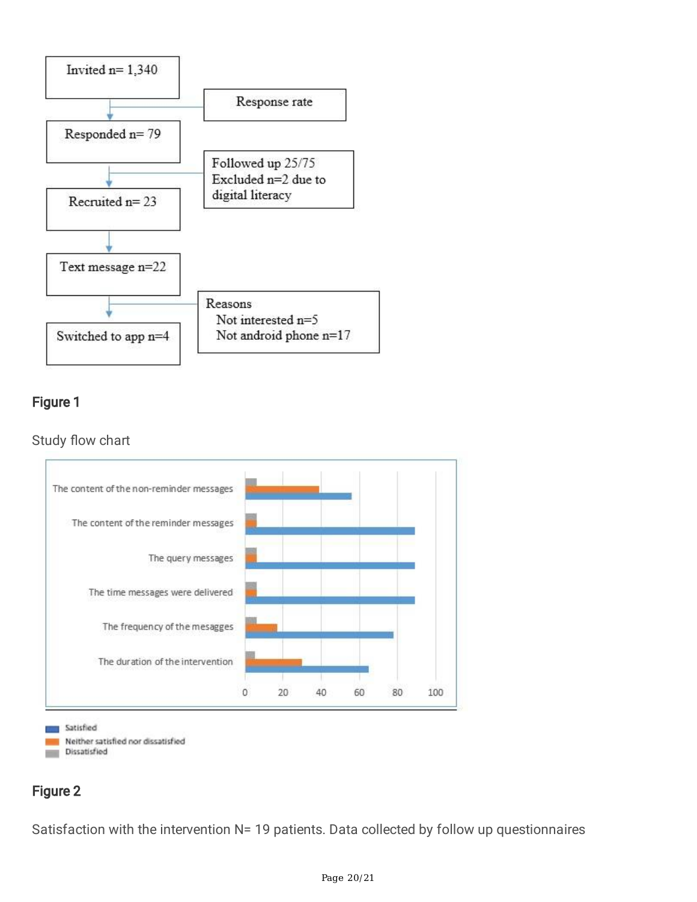

#### Figure 1

#### Study flow chart



Dissatisfied **COLLEGE** 

### Figure 2

Satisfaction with the intervention N= 19 patients. Data collected by follow up questionnaires